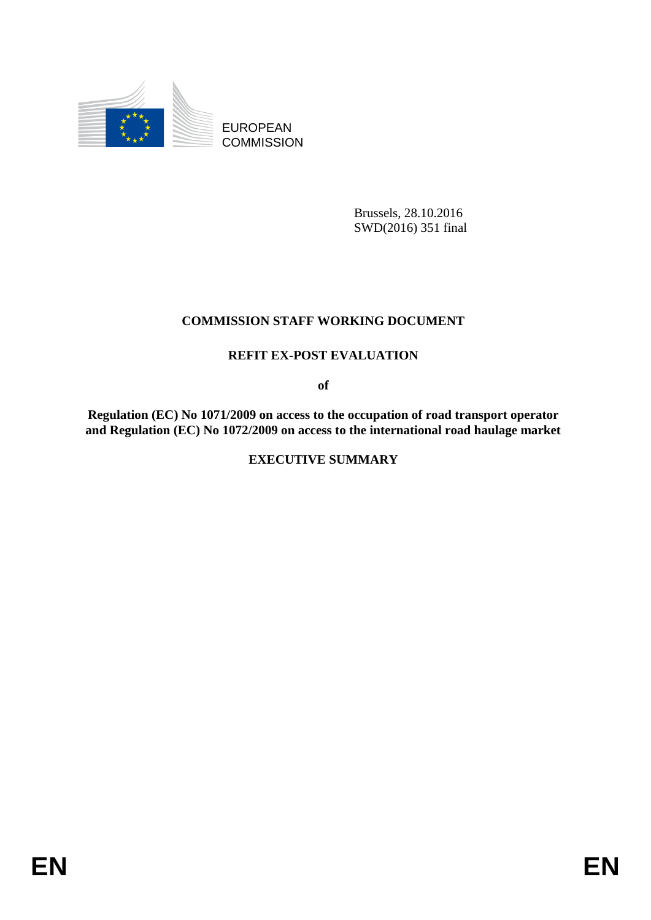

EUROPEAN **COMMISSION** 

> Brussels, 28.10.2016 SWD(2016) 351 final

## **COMMISSION STAFF WORKING DOCUMENT**

## **REFIT EX-POST EVALUATION**

**of**

**Regulation (EC) No 1071/2009 on access to the occupation of road transport operator and Regulation (EC) No 1072/2009 on access to the international road haulage market**

**EXECUTIVE SUMMARY**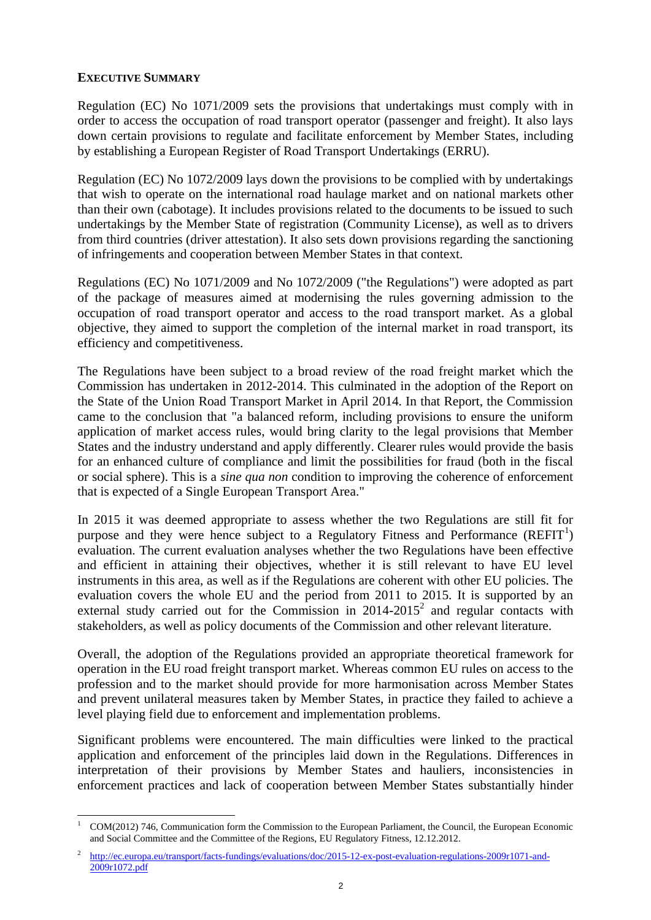## **EXECUTIVE SUMMARY**

1

Regulation (EC) No 1071/2009 sets the provisions that undertakings must comply with in order to access the occupation of road transport operator (passenger and freight). It also lays down certain provisions to regulate and facilitate enforcement by Member States, including by establishing a European Register of Road Transport Undertakings (ERRU).

Regulation (EC) No 1072/2009 lays down the provisions to be complied with by undertakings that wish to operate on the international road haulage market and on national markets other than their own (cabotage). It includes provisions related to the documents to be issued to such undertakings by the Member State of registration (Community License), as well as to drivers from third countries (driver attestation). It also sets down provisions regarding the sanctioning of infringements and cooperation between Member States in that context.

Regulations (EC) No 1071/2009 and No 1072/2009 ("the Regulations") were adopted as part of the package of measures aimed at modernising the rules governing admission to the occupation of road transport operator and access to the road transport market. As a global objective, they aimed to support the completion of the internal market in road transport, its efficiency and competitiveness.

The Regulations have been subject to a broad review of the road freight market which the Commission has undertaken in 2012-2014. This culminated in the adoption of the Report on the State of the Union Road Transport Market in April 2014. In that Report, the Commission came to the conclusion that "a balanced reform, including provisions to ensure the uniform application of market access rules, would bring clarity to the legal provisions that Member States and the industry understand and apply differently. Clearer rules would provide the basis for an enhanced culture of compliance and limit the possibilities for fraud (both in the fiscal or social sphere). This is a *sine qua non* condition to improving the coherence of enforcement that is expected of a Single European Transport Area."

In 2015 it was deemed appropriate to assess whether the two Regulations are still fit for purpose and they were hence subject to a Regulatory Fitness and Performance  $(REFIT^1)$ evaluation. The current evaluation analyses whether the two Regulations have been effective and efficient in attaining their objectives, whether it is still relevant to have EU level instruments in this area, as well as if the Regulations are coherent with other EU policies. The evaluation covers the whole EU and the period from 2011 to 2015. It is supported by an external study carried out for the Commission in  $2014-2015^2$  and regular contacts with stakeholders, as well as policy documents of the Commission and other relevant literature.

Overall, the adoption of the Regulations provided an appropriate theoretical framework for operation in the EU road freight transport market. Whereas common EU rules on access to the profession and to the market should provide for more harmonisation across Member States and prevent unilateral measures taken by Member States, in practice they failed to achieve a level playing field due to enforcement and implementation problems.

Significant problems were encountered. The main difficulties were linked to the practical application and enforcement of the principles laid down in the Regulations. Differences in interpretation of their provisions by Member States and hauliers, inconsistencies in enforcement practices and lack of cooperation between Member States substantially hinder

<sup>1</sup> COM(2012) 746, Communication form the Commission to the European Parliament, the Council, the European Economic and Social Committee and the Committee of the Regions, EU Regulatory Fitness, 12.12.2012.

<sup>2</sup> [http://ec.europa.eu/transport/facts-fundings/evaluations/doc/2015-12-ex-post-evaluation-regulations-2009r1071-and-](http://ec.europa.eu/transport/facts-fundings/evaluations/doc/2015-12-ex-post-evaluation-regulations-2009r1071-and-2009r1072.pdf)[2009r1072.pdf](http://ec.europa.eu/transport/facts-fundings/evaluations/doc/2015-12-ex-post-evaluation-regulations-2009r1071-and-2009r1072.pdf)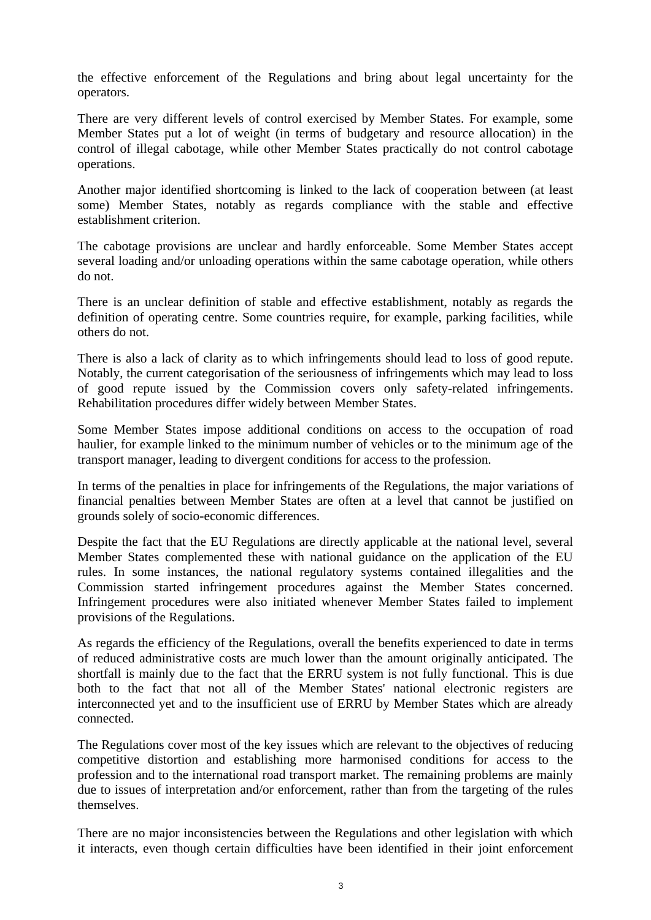the effective enforcement of the Regulations and bring about legal uncertainty for the operators.

There are very different levels of control exercised by Member States. For example, some Member States put a lot of weight (in terms of budgetary and resource allocation) in the control of illegal cabotage, while other Member States practically do not control cabotage operations.

Another major identified shortcoming is linked to the lack of cooperation between (at least some) Member States, notably as regards compliance with the stable and effective establishment criterion.

The cabotage provisions are unclear and hardly enforceable. Some Member States accept several loading and/or unloading operations within the same cabotage operation, while others do not.

There is an unclear definition of stable and effective establishment, notably as regards the definition of operating centre. Some countries require, for example, parking facilities, while others do not.

There is also a lack of clarity as to which infringements should lead to loss of good repute. Notably, the current categorisation of the seriousness of infringements which may lead to loss of good repute issued by the Commission covers only safety-related infringements. Rehabilitation procedures differ widely between Member States.

Some Member States impose additional conditions on access to the occupation of road haulier, for example linked to the minimum number of vehicles or to the minimum age of the transport manager, leading to divergent conditions for access to the profession.

In terms of the penalties in place for infringements of the Regulations, the major variations of financial penalties between Member States are often at a level that cannot be justified on grounds solely of socio-economic differences.

Despite the fact that the EU Regulations are directly applicable at the national level, several Member States complemented these with national guidance on the application of the EU rules. In some instances, the national regulatory systems contained illegalities and the Commission started infringement procedures against the Member States concerned. Infringement procedures were also initiated whenever Member States failed to implement provisions of the Regulations.

As regards the efficiency of the Regulations, overall the benefits experienced to date in terms of reduced administrative costs are much lower than the amount originally anticipated. The shortfall is mainly due to the fact that the ERRU system is not fully functional. This is due both to the fact that not all of the Member States' national electronic registers are interconnected yet and to the insufficient use of ERRU by Member States which are already connected.

The Regulations cover most of the key issues which are relevant to the objectives of reducing competitive distortion and establishing more harmonised conditions for access to the profession and to the international road transport market. The remaining problems are mainly due to issues of interpretation and/or enforcement, rather than from the targeting of the rules themselves.

There are no major inconsistencies between the Regulations and other legislation with which it interacts, even though certain difficulties have been identified in their joint enforcement